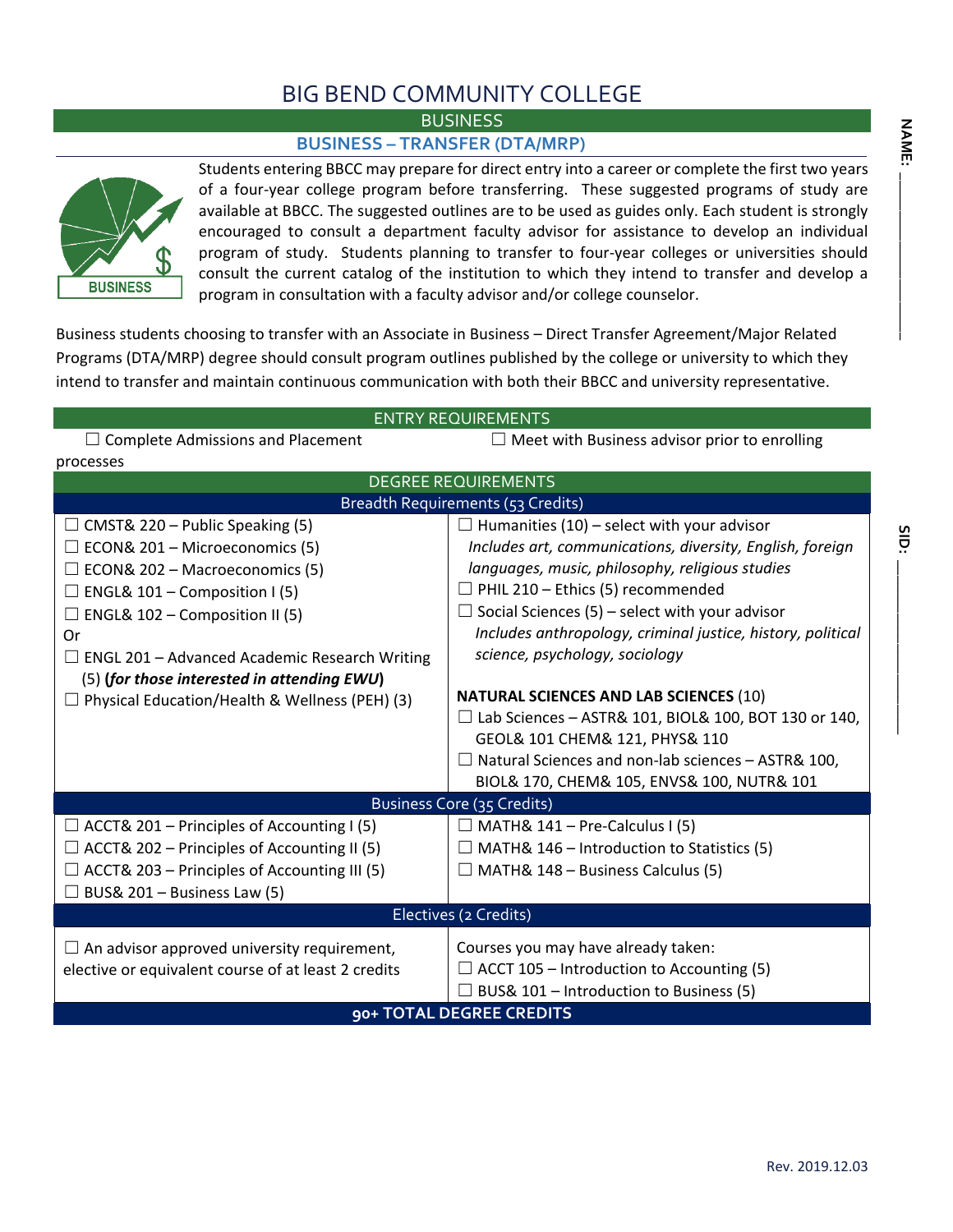## BIG BEND COMMUNITY COLLEGE

**BUSINESS** 

## **BUSINESS – TRANSFER (DTA/MRP)**



Students entering BBCC may prepare for direct entry into a career or complete the first two years of a four-year college program before transferring. These suggested programs of study are available at BBCC. The suggested outlines are to be used as guides only. Each student is strongly encouraged to consult a department faculty advisor for assistance to develop an individual program of study. Students planning to transfer to four-year colleges or universities should consult the current catalog of the institution to which they intend to transfer and develop a program in consultation with a faculty advisor and/or college counselor.

Business students choosing to transfer with an Associate in Business – Direct Transfer Agreement/Major Related Programs (DTA/MRP) degree should consult program outlines published by the college or university to which they intend to transfer and maintain continuous communication with both their BBCC and university representative.

| <b>ENTRY REQUIREMENTS</b>                             |                                                                                               |  |  |  |  |  |  |  |  |
|-------------------------------------------------------|-----------------------------------------------------------------------------------------------|--|--|--|--|--|--|--|--|
| $\Box$ Complete Admissions and Placement              | $\Box$ Meet with Business advisor prior to enrolling                                          |  |  |  |  |  |  |  |  |
| processes                                             |                                                                                               |  |  |  |  |  |  |  |  |
| <b>DEGREE REQUIREMENTS</b>                            |                                                                                               |  |  |  |  |  |  |  |  |
| <b>Breadth Requirements (53 Credits)</b>              |                                                                                               |  |  |  |  |  |  |  |  |
| $\Box$ CMST& 220 – Public Speaking (5)                | $\Box$ Humanities (10) – select with your advisor                                             |  |  |  |  |  |  |  |  |
| $\Box$ ECON& 201 – Microeconomics (5)                 | Includes art, communications, diversity, English, foreign                                     |  |  |  |  |  |  |  |  |
| $\Box$ ECON& 202 – Macroeconomics (5)                 | languages, music, philosophy, religious studies                                               |  |  |  |  |  |  |  |  |
| $\Box$ ENGL& 101 – Composition I (5)                  | $\Box$ PHIL 210 – Ethics (5) recommended                                                      |  |  |  |  |  |  |  |  |
| $\Box$ ENGL& 102 – Composition II (5)                 | $\Box$ Social Sciences (5) – select with your advisor                                         |  |  |  |  |  |  |  |  |
| Or                                                    | Includes anthropology, criminal justice, history, political                                   |  |  |  |  |  |  |  |  |
| $\Box$ ENGL 201 – Advanced Academic Research Writing  | science, psychology, sociology                                                                |  |  |  |  |  |  |  |  |
| (5) (for those interested in attending EWU)           |                                                                                               |  |  |  |  |  |  |  |  |
| $\Box$ Physical Education/Health & Wellness (PEH) (3) | <b>NATURAL SCIENCES AND LAB SCIENCES (10)</b>                                                 |  |  |  |  |  |  |  |  |
|                                                       | $\Box$ Lab Sciences - ASTR& 101, BIOL& 100, BOT 130 or 140,<br>GEOL& 101 CHEM& 121, PHYS& 110 |  |  |  |  |  |  |  |  |
|                                                       | $\Box$ Natural Sciences and non-lab sciences - ASTR& 100,                                     |  |  |  |  |  |  |  |  |
|                                                       | BIOL& 170, CHEM& 105, ENVS& 100, NUTR& 101                                                    |  |  |  |  |  |  |  |  |
|                                                       | Business Core (35 Credits)                                                                    |  |  |  |  |  |  |  |  |
| $\Box$ ACCT& 201 – Principles of Accounting I (5)     | $\Box$ MATH& 141 – Pre-Calculus I (5)                                                         |  |  |  |  |  |  |  |  |
| $\Box$ ACCT& 202 – Principles of Accounting II (5)    | $\Box$ MATH& 146 – Introduction to Statistics (5)                                             |  |  |  |  |  |  |  |  |
| $\Box$ ACCT& 203 – Principles of Accounting III (5)   | $\Box$ MATH& 148 – Business Calculus (5)                                                      |  |  |  |  |  |  |  |  |
| $\Box$ BUS& 201 – Business Law (5)                    |                                                                                               |  |  |  |  |  |  |  |  |
|                                                       |                                                                                               |  |  |  |  |  |  |  |  |
| Electives (2 Credits)                                 |                                                                                               |  |  |  |  |  |  |  |  |
| $\Box$ An advisor approved university requirement,    | Courses you may have already taken:                                                           |  |  |  |  |  |  |  |  |
| elective or equivalent course of at least 2 credits   | $\Box$ ACCT 105 – Introduction to Accounting (5)                                              |  |  |  |  |  |  |  |  |
|                                                       | $\Box$ BUS& 101 – Introduction to Business (5)                                                |  |  |  |  |  |  |  |  |
| 90+ TOTAL DEGREE CREDITS                              |                                                                                               |  |  |  |  |  |  |  |  |

**SID: \_\_\_\_\_\_\_\_\_\_\_\_\_\_\_\_\_\_\_\_\_\_\_**

SID: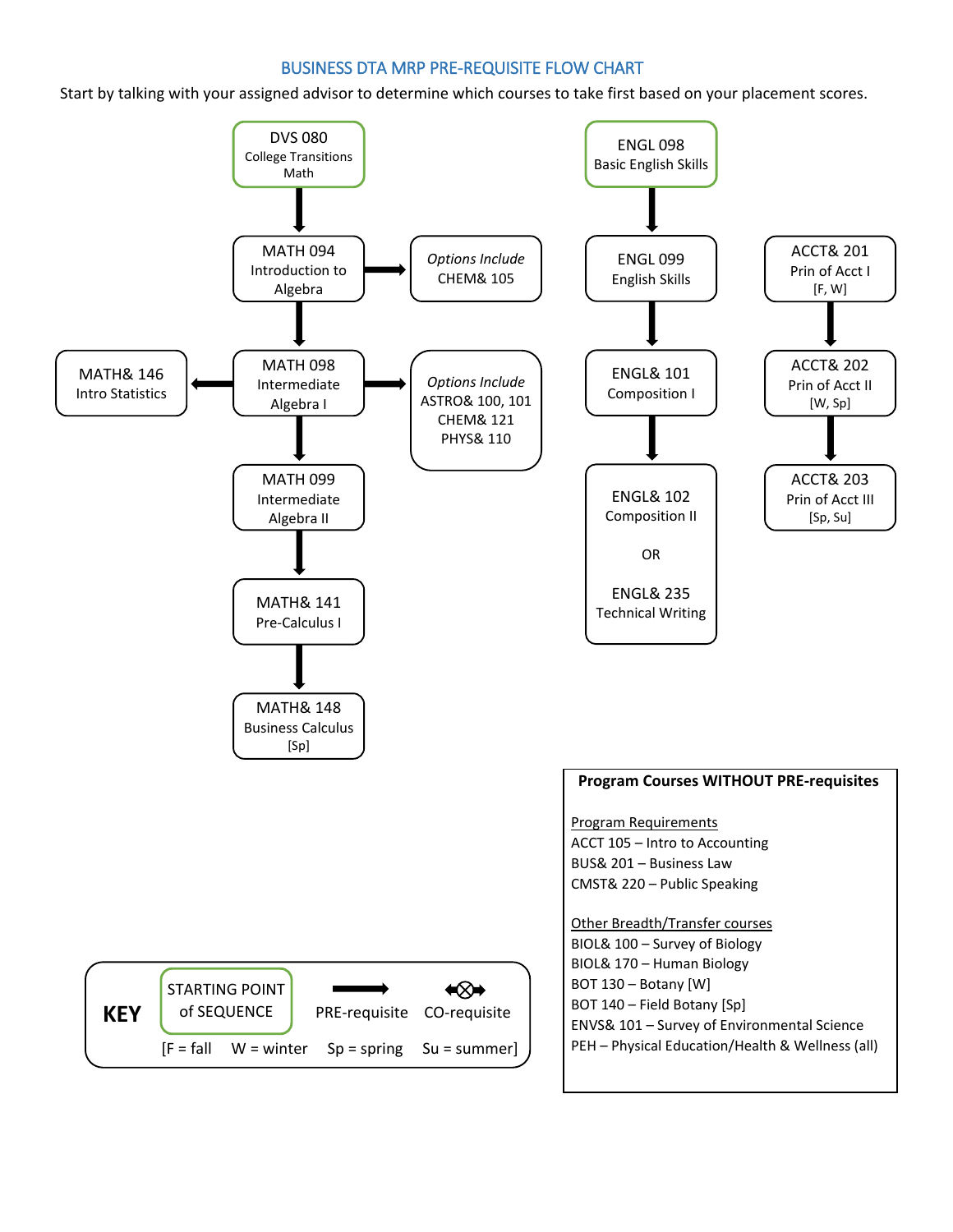## BUSINESS DTA MRP PRE-REQUISITE FLOW CHART

Start by talking with your assigned advisor to determine which courses to take first based on your placement scores.

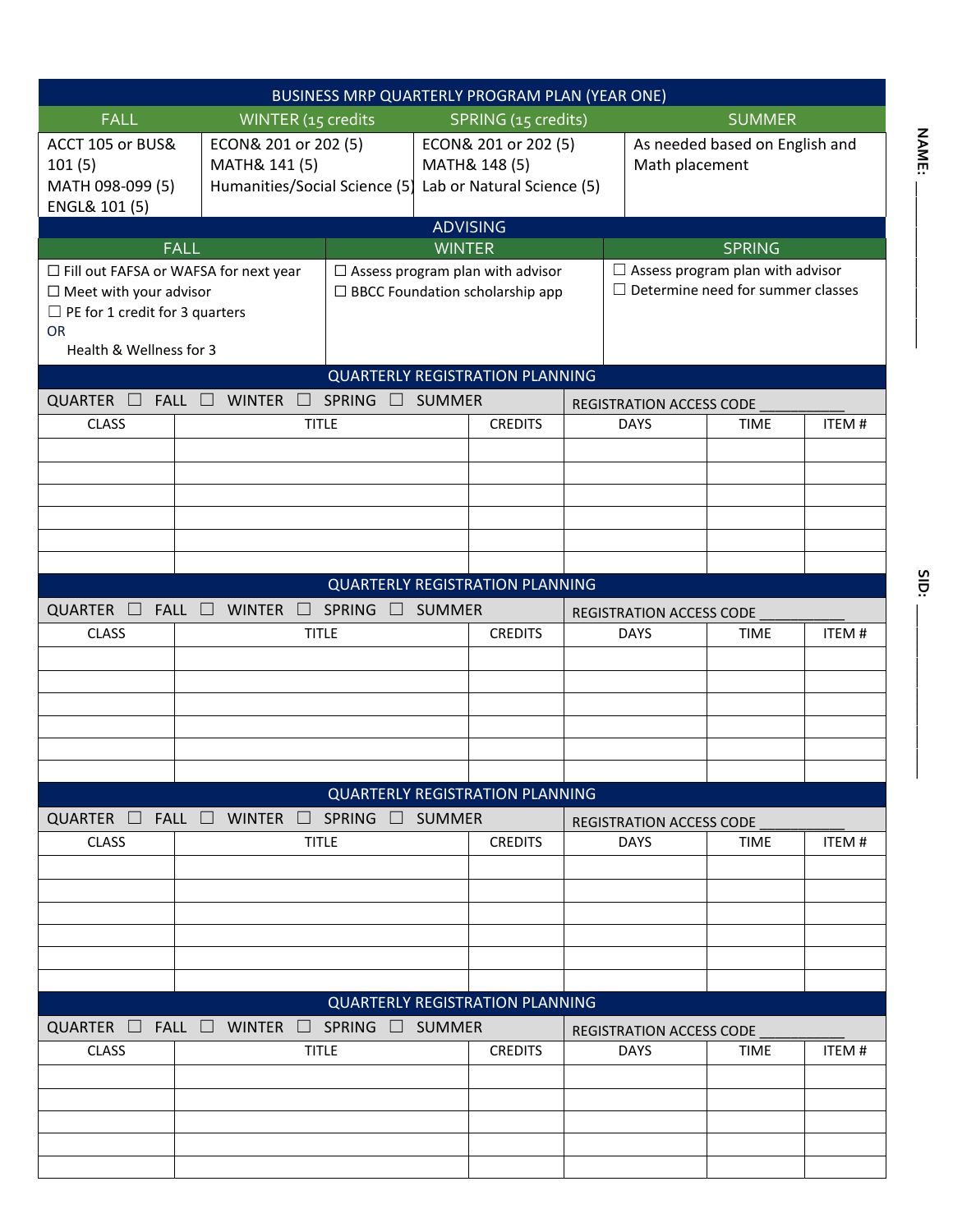| BUSINESS MRP QUARTERLY PROGRAM PLAN (YEAR ONE)                                                                                                            |                                                            |                                                                               |                                                                                                                             |                                                                     |                                        |                                                                                     |                                         |                                                  |       |  |
|-----------------------------------------------------------------------------------------------------------------------------------------------------------|------------------------------------------------------------|-------------------------------------------------------------------------------|-----------------------------------------------------------------------------------------------------------------------------|---------------------------------------------------------------------|----------------------------------------|-------------------------------------------------------------------------------------|-----------------------------------------|--------------------------------------------------|-------|--|
| <b>FALL</b>                                                                                                                                               | <b>SUMMER</b><br>WINTER (15 credits<br>SPRING (15 credits) |                                                                               |                                                                                                                             |                                                                     |                                        |                                                                                     |                                         |                                                  |       |  |
| ACCT 105 or BUS&<br>101(5)<br>MATH 098-099 (5)<br>ENGL& 101 (5)                                                                                           |                                                            | ECON& 201 or 202 (5)<br>MATH& 141 (5)<br>Humanities/Social Science (5)        |                                                                                                                             | ECON& 201 or 202 (5)<br>MATH& 148 (5)<br>Lab or Natural Science (5) |                                        |                                                                                     |                                         | As needed based on English and<br>Math placement |       |  |
|                                                                                                                                                           |                                                            |                                                                               |                                                                                                                             |                                                                     | <b>ADVISING</b>                        |                                                                                     |                                         |                                                  |       |  |
|                                                                                                                                                           | EALL<br><b>WINTER</b>                                      |                                                                               |                                                                                                                             |                                                                     | <b>SPRING</b>                          |                                                                                     |                                         |                                                  |       |  |
| □ Fill out FAFSA or WAFSA for next year<br>$\Box$ Meet with your advisor<br>$\Box$ PE for 1 credit for 3 quarters<br><b>OR</b><br>Health & Wellness for 3 |                                                            |                                                                               | $\Box$ Assess program plan with advisor<br>$\Box$ BBCC Foundation scholarship app<br><b>QUARTERLY REGISTRATION PLANNING</b> |                                                                     |                                        | $\Box$ Assess program plan with advisor<br>$\Box$ Determine need for summer classes |                                         |                                                  |       |  |
| QUARTER<br>FALL $\Box$<br>$\mathbf{L}$                                                                                                                    |                                                            | <b>WINTER</b>                                                                 | SPRING □                                                                                                                    | <b>SUMMER</b>                                                       |                                        |                                                                                     |                                         |                                                  |       |  |
| <b>CLASS</b>                                                                                                                                              |                                                            |                                                                               | <b>TITLE</b>                                                                                                                |                                                                     | <b>CREDITS</b>                         | REGISTRATION ACCESS CODE<br><b>ITEM#</b><br><b>DAYS</b><br><b>TIME</b>              |                                         |                                                  |       |  |
|                                                                                                                                                           |                                                            |                                                                               |                                                                                                                             |                                                                     |                                        |                                                                                     |                                         |                                                  |       |  |
|                                                                                                                                                           |                                                            |                                                                               |                                                                                                                             |                                                                     |                                        |                                                                                     |                                         |                                                  |       |  |
|                                                                                                                                                           |                                                            |                                                                               |                                                                                                                             |                                                                     |                                        |                                                                                     |                                         |                                                  |       |  |
|                                                                                                                                                           |                                                            |                                                                               |                                                                                                                             |                                                                     |                                        |                                                                                     |                                         |                                                  |       |  |
|                                                                                                                                                           |                                                            |                                                                               |                                                                                                                             |                                                                     | <b>QUARTERLY REGISTRATION PLANNING</b> |                                                                                     |                                         |                                                  |       |  |
| QUARTER $\Box$                                                                                                                                            |                                                            | $FALL \ \Box \$ WINTER<br>$\Box$                                              | SPRING $\Box$                                                                                                               | SUMMER                                                              |                                        |                                                                                     | REGISTRATION ACCESS CODE                |                                                  |       |  |
| <b>CLASS</b>                                                                                                                                              | <b>TITLE</b>                                               |                                                                               | <b>CREDITS</b>                                                                                                              | ITEM#<br><b>DAYS</b><br><b>TIME</b>                                 |                                        |                                                                                     |                                         |                                                  |       |  |
|                                                                                                                                                           |                                                            |                                                                               |                                                                                                                             |                                                                     |                                        |                                                                                     |                                         |                                                  |       |  |
|                                                                                                                                                           |                                                            |                                                                               |                                                                                                                             |                                                                     |                                        |                                                                                     |                                         |                                                  |       |  |
|                                                                                                                                                           |                                                            |                                                                               |                                                                                                                             |                                                                     |                                        |                                                                                     |                                         |                                                  |       |  |
|                                                                                                                                                           |                                                            |                                                                               |                                                                                                                             |                                                                     |                                        |                                                                                     |                                         |                                                  |       |  |
|                                                                                                                                                           |                                                            |                                                                               |                                                                                                                             |                                                                     |                                        |                                                                                     |                                         |                                                  |       |  |
|                                                                                                                                                           |                                                            |                                                                               |                                                                                                                             |                                                                     |                                        |                                                                                     |                                         |                                                  |       |  |
|                                                                                                                                                           |                                                            |                                                                               |                                                                                                                             |                                                                     | <b>QUARTERLY REGISTRATION PLANNING</b> |                                                                                     |                                         |                                                  |       |  |
|                                                                                                                                                           |                                                            |                                                                               |                                                                                                                             |                                                                     |                                        |                                                                                     |                                         |                                                  |       |  |
| <b>CLASS</b>                                                                                                                                              |                                                            | QUARTER $\Box$ FALL $\Box$ WINTER $\Box$ SPRING $\Box$ SUMMER<br><b>TITLE</b> |                                                                                                                             |                                                                     | <b>CREDITS</b>                         |                                                                                     | REGISTRATION ACCESS CODE<br><b>DAYS</b> | ITEM#<br><b>TIME</b>                             |       |  |
|                                                                                                                                                           |                                                            |                                                                               |                                                                                                                             |                                                                     |                                        |                                                                                     |                                         |                                                  |       |  |
|                                                                                                                                                           |                                                            |                                                                               |                                                                                                                             |                                                                     |                                        |                                                                                     |                                         |                                                  |       |  |
|                                                                                                                                                           |                                                            |                                                                               |                                                                                                                             |                                                                     |                                        |                                                                                     |                                         |                                                  |       |  |
|                                                                                                                                                           |                                                            |                                                                               |                                                                                                                             |                                                                     |                                        |                                                                                     |                                         |                                                  |       |  |
|                                                                                                                                                           |                                                            |                                                                               |                                                                                                                             |                                                                     |                                        |                                                                                     |                                         |                                                  |       |  |
|                                                                                                                                                           |                                                            |                                                                               |                                                                                                                             |                                                                     |                                        |                                                                                     |                                         |                                                  |       |  |
|                                                                                                                                                           |                                                            |                                                                               |                                                                                                                             |                                                                     | <b>QUARTERLY REGISTRATION PLANNING</b> |                                                                                     |                                         |                                                  |       |  |
| QUARTER $\Box$ FALL $\Box$ WINTER $\Box$ SPRING $\Box$ SUMMER                                                                                             |                                                            |                                                                               |                                                                                                                             |                                                                     |                                        |                                                                                     |                                         |                                                  |       |  |
| <b>CLASS</b>                                                                                                                                              |                                                            |                                                                               | <b>TITLE</b>                                                                                                                |                                                                     | <b>CREDITS</b>                         |                                                                                     | REGISTRATION ACCESS CODE<br><b>DAYS</b> | <b>TIME</b>                                      | ITEM# |  |
|                                                                                                                                                           |                                                            |                                                                               |                                                                                                                             |                                                                     |                                        |                                                                                     |                                         |                                                  |       |  |
|                                                                                                                                                           |                                                            |                                                                               |                                                                                                                             |                                                                     |                                        |                                                                                     |                                         |                                                  |       |  |
|                                                                                                                                                           |                                                            |                                                                               |                                                                                                                             |                                                                     |                                        |                                                                                     |                                         |                                                  |       |  |
|                                                                                                                                                           |                                                            |                                                                               |                                                                                                                             |                                                                     |                                        |                                                                                     |                                         |                                                  |       |  |
|                                                                                                                                                           |                                                            |                                                                               |                                                                                                                             |                                                                     |                                        |                                                                                     |                                         |                                                  |       |  |

**NAME: NAME: \_\_\_\_\_\_\_\_\_\_\_\_\_\_\_\_\_\_\_\_\_\_**